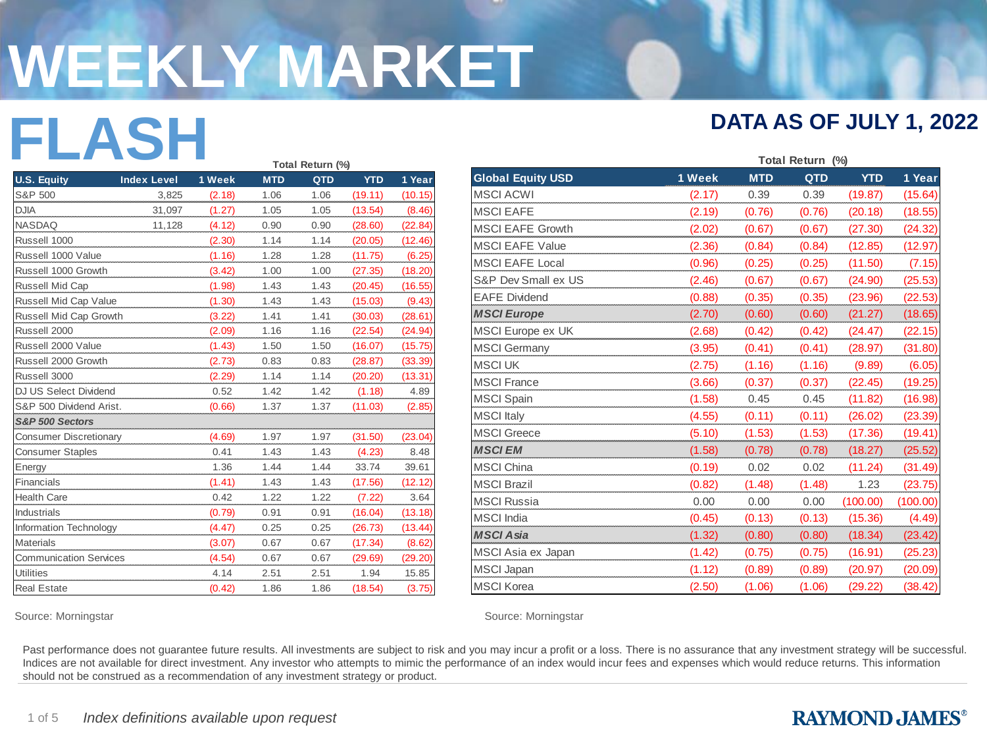# **WEEKLY MARKET**

# **FLASH DATA AS OF JULY 1, 2022**

|                               |                    |        | Total Return (%) |      |            |         |  |  |
|-------------------------------|--------------------|--------|------------------|------|------------|---------|--|--|
| <b>U.S. Equity</b>            | <b>Index Level</b> | 1 Week | <b>MTD</b>       | QTD  | <b>YTD</b> | 1 Year  |  |  |
| S&P 500                       | 3.825              | (2.18) | 1.06             | 1.06 | (19.11)    | (10.15) |  |  |
| <b>DJIA</b>                   | 31,097             | (1.27) | 1.05             | 1.05 | (13.54)    | (8.46)  |  |  |
| <b>NASDAQ</b>                 | 11,128             | (4.12) | 0.90             | 0.90 | (28.60)    | (22.84) |  |  |
| Russell 1000                  |                    | (2.30) | 1.14             | 1.14 | (20.05)    | (12.46) |  |  |
| Russell 1000 Value            |                    | (1.16) | 1.28             | 1.28 | (11.75)    | (6.25)  |  |  |
| Russell 1000 Growth           |                    | (3.42) | 1.00             | 1.00 | (27.35)    | (18.20) |  |  |
| Russell Mid Cap               |                    | (1.98) | 1.43             | 1.43 | (20.45)    | (16.55) |  |  |
| Russell Mid Cap Value         |                    | (1.30) | 1.43             | 1.43 | (15.03)    | (9.43)  |  |  |
| Russell Mid Cap Growth        |                    | (3.22) | 1.41             | 1.41 | (30.03)    | (28.61) |  |  |
| Russell 2000                  |                    | (2.09) | 1.16             | 1.16 | (22.54)    | (24.94) |  |  |
| Russell 2000 Value            |                    | (1.43) | 1.50             | 1.50 | (16.07)    | (15.75) |  |  |
| Russell 2000 Growth           |                    | (2.73) | 0.83             | 0.83 | (28.87)    | (33.39) |  |  |
| Russell 3000                  |                    | (2.29) | 1.14             | 1.14 | (20.20)    | (13.31) |  |  |
| <b>DJ US Select Dividend</b>  |                    | 0.52   | 1.42             | 1.42 | (1.18)     | 4.89    |  |  |
| S&P 500 Dividend Arist.       |                    | (0.66) | 1.37             | 1.37 | (11.03)    | (2.85)  |  |  |
| S&P 500 Sectors               |                    |        |                  |      |            |         |  |  |
| <b>Consumer Discretionary</b> |                    | (4.69) | 1.97             | 1.97 | (31.50)    | (23.04) |  |  |
| <b>Consumer Staples</b>       |                    | 0.41   | 1.43             | 1.43 | (4.23)     | 8.48    |  |  |
| Energy                        |                    | 1.36   | 1.44             | 1.44 | 33.74      | 39.61   |  |  |
| Financials                    |                    | (1.41) | 1.43             | 1.43 | (17.56)    | (12.12) |  |  |
| <b>Health Care</b>            |                    | 0.42   | 1.22             | 1.22 | (7.22)     | 3.64    |  |  |
| <b>Industrials</b>            |                    | (0.79) | 0.91             | 0.91 | (16.04)    | (13.18) |  |  |
| Information Technology        |                    | (4.47) | 0.25             | 0.25 | (26.73)    | (13.44) |  |  |
| <b>Materials</b>              |                    | (3.07) | 0.67             | 0.67 | (17.34)    | (8.62)  |  |  |
| <b>Communication Services</b> |                    | (4.54) | 0.67             | 0.67 | (29.69)    | (29.20) |  |  |
| <b>Utilities</b>              |                    | 4.14   | 2.51             | 2.51 | 1.94       | 15.85   |  |  |
| <b>Real Estate</b>            |                    | (0.42) | 1.86             | 1.86 | (18.54)    | (3.75)  |  |  |

| and the state of the state<br><b>Contract Contract Contract Contract</b> | <b>COLLEGE</b>     |                  | Total Return (%) |              |                    |                   |
|--------------------------------------------------------------------------|--------------------|------------------|------------------|--------------|--------------------|-------------------|
| <b>U.S. Equity</b>                                                       | <b>Index Level</b> | 1 Week           | <b>MTD</b>       | QTD          | <b>YTD</b>         | 1 Year            |
| S&P 500                                                                  | 3,825              | (2.18)           | 1.06             | 1.06         | (19.11)            | (10.15)           |
| <b>DJIA</b>                                                              | 31,097             | (1.27)           | 1.05             | 1.05         | (13.54)            | (8.46)            |
| <b>NASDAQ</b>                                                            | 11,128             | (4.12)           | 0.90             | 0.90         | (28.60)            | (22.84)           |
| Russell 1000                                                             |                    | (2.30)           | 1.14             | 1.14         | (20.05)            | (12.46)           |
| Russell 1000 Value                                                       |                    | (1.16)           | 1.28             | 1.28         | (11.75)            | (6.25)            |
| Russell 1000 Growth                                                      |                    | (3.42)           | 1.00<br>1.43     | 1.00<br>1.43 | (27.35)            | (18.20)           |
| Russell Mid Cap<br>Russell Mid Cap Value                                 |                    | (1.98)<br>(1.30) | 1.43             | 1.43         | (20.45)<br>(15.03) | (16.55)<br>(9.43) |
| Russell Mid Cap Growth                                                   |                    | (3.22)           | 1.41             | 1.41         | (30.03)            | (28.61)           |
| Russell 2000                                                             |                    | (2.09)           | 1.16             | 1.16         | (22.54)            | (24.94)           |
| Russell 2000 Value                                                       |                    | (1.43)           | 1.50             | 1.50         | (16.07)            | (15.75)           |
| Russell 2000 Growth                                                      |                    | (2.73)           | 0.83             | 0.83         | (28.87)            | (33.39)           |
| Russell 3000                                                             |                    | (2.29)           | 1.14             | 1.14         | (20.20)            | (13.31)           |
| DJ US Select Dividend                                                    |                    | 0.52             | 1.42             | 1.42         | (1.18)             | 4.89              |
| S&P 500 Dividend Arist.                                                  |                    | (0.66)           | 1.37             | 1.37         | (11.03)            | (2.85)            |
| S&P 500 Sectors                                                          |                    |                  |                  |              |                    |                   |
| <b>Consumer Discretionary</b><br><b>Consumer Staples</b>                 |                    | (4.69)<br>0.41   | 1.97<br>1.43     | 1.97<br>1.43 | (31.50)<br>(4.23)  | (23.04)<br>8.48   |
| Energy                                                                   |                    | 1.36             | 1.44             | 1.44         | 33.74              | 39.61             |
| Financials                                                               |                    | (1.41)           | 1.43             | 1.43         | (17.56)            | (12.12)           |
| <b>Health Care</b>                                                       |                    | 0.42             | 1.22             | 1.22         | (7.22)             | 3.64              |
| <b>Industrials</b>                                                       |                    | (0.79)           | 0.91             | 0.91         | (16.04)            | (13.18)           |
| <b>Information Technology</b>                                            |                    | (4.47)           | 0.25             | 0.25         | (26.73)            | (13.44)           |
| <b>Materials</b>                                                         |                    | (3.07)           | 0.67             | 0.67         | (17.34)            | (8.62)            |
| <b>Communication Services</b>                                            |                    | (4.54)           | 0.67             | 0.67         | (29.69)            | (29.20)           |
| <b>Utilities</b>                                                         |                    | 4.14             | 2.51             | 2.51         | 1.94               | 15.85             |
| <b>Real Estate</b>                                                       |                    | (0.42)           | 1.86             | 1.86         | (18.54)            | (3.75)            |

Source: Morningstar Source: Morningstar Source: Morningstar Source: Morningstar Source: Morningstar

Past performance does not quarantee future results. All investments are subject to risk and you may incur a profit or a loss. There is no assurance that any investment strategy will be successful. Indices are not available for direct investment. Any investor who attempts to mimic the performance of an index would incur fees and expenses which would reduce returns. This information should not be construed as a recommendation of any investment strategy or product.

#### **RAYMOND JAMES®**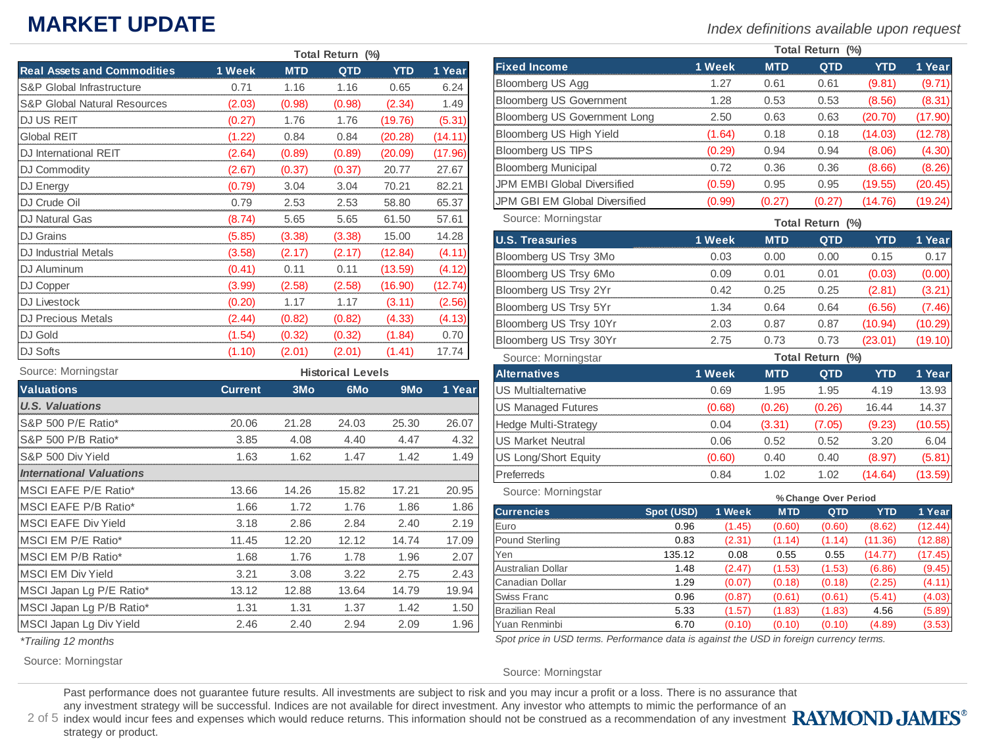## **MARKET UPDATE**

*Index definitions available upon request*

|                                         |        | Total Return (%) |            |            |         |  |  |  |
|-----------------------------------------|--------|------------------|------------|------------|---------|--|--|--|
| <b>Real Assets and Commodities</b>      | 1 Week | <b>MTD</b>       | <b>QTD</b> | <b>YTD</b> | 1 Year  |  |  |  |
| <b>S&amp;P Global Infrastructure</b>    | 0.71   | 1.16             | 1.16       | 0.65       | 6.24    |  |  |  |
| <b>S&amp;P Global Natural Resources</b> | (2.03) | (0.98)           | (0.98)     | (2.34)     | 1.49    |  |  |  |
| DJ US REIT                              | (0.27) | 1.76             | 1.76       | (19.76)    | (5.31)  |  |  |  |
| <b>Global REIT</b>                      | (1.22) | 0.84             | 0.84       | (20.28)    | (14.11) |  |  |  |
| DJ International REIT                   | (2.64) | (0.89)           | (0.89)     | (20.09)    | (17.96) |  |  |  |
| DJ Commodity                            | (2.67) | (0.37)           | (0.37)     | 20.77      | 27.67   |  |  |  |
| DJ Energy                               | (0.79) | 3.04             | 3.04       | 70.21      | 82.21   |  |  |  |
| DJ Crude Oil                            | 0.79   | 2.53             | 2.53       | 58.80      | 65.37   |  |  |  |
| DJ Natural Gas                          | (8.74) | 5.65             | 5.65       | 61.50      | 57.61   |  |  |  |
| <b>DJ</b> Grains                        | (5.85) | (3.38)           | (3.38)     | 15.00      | 14.28   |  |  |  |
| DJ Industrial Metals                    | (3.58) | (2.17)           | (2.17)     | (12.84)    | (4.11)  |  |  |  |
| DJ Aluminum                             | (0.41) | 0.11             | 0.11       | (13.59)    | (4.12)  |  |  |  |
| DJ Copper                               | (3.99) | (2.58)           | (2.58)     | (16.90)    | (12.74) |  |  |  |
| DJ Livestock                            | (0.20) | 1.17             | 1.17       | (3.11)     | (2.56)  |  |  |  |
| <b>DJ Precious Metals</b>               | (2.44) | (0.82)           | (0.82)     | (4.33)     | (4.13)  |  |  |  |
| DJ Gold                                 | (1.54) | (0.32)           | (0.32)     | (1.84)     | 0.70    |  |  |  |
| DJ Softs                                | (1.10) | (2.01)           | (2.01)     | (1.41)     | 17.74   |  |  |  |

| Source: Morningstar             |                | <b>Historical Levels</b> |                 |                 |        |  |  |  |
|---------------------------------|----------------|--------------------------|-----------------|-----------------|--------|--|--|--|
| <b>Valuations</b>               | <b>Current</b> | 3 <sub>Mo</sub>          | 6M <sub>o</sub> | 9 <sub>Mo</sub> | 1 Year |  |  |  |
| <b>U.S. Valuations</b>          |                |                          |                 |                 |        |  |  |  |
| S&P 500 P/E Ratio*              | 20.06          | 21.28                    | 24.03           | 25.30           | 26.07  |  |  |  |
| S&P 500 P/B Ratio*              | 3.85           | 4.08                     | 4.40            | 4.47            | 4.32   |  |  |  |
| S&P 500 Div Yield               | 1.63           | 1.62                     | 1.47            | 1.42            | 1.49   |  |  |  |
| <b>International Valuations</b> |                |                          |                 |                 |        |  |  |  |
| MSCI EAFE P/E Ratio*            | 13.66          | 14.26                    | 15.82           | 17.21           | 20.95  |  |  |  |
| MSCI EAFE P/B Ratio*            | 1.66           | 1.72                     | 1.76            | 1.86            | 1.86   |  |  |  |
| <b>MSCI EAFE Div Yield</b>      | 3.18           | 2.86                     | 2.84            | 2.40            | 2.19   |  |  |  |
| MSCI EM P/E Ratio*              | 11.45          | 12.20                    | 12.12           | 14.74           | 17.09  |  |  |  |
| MSCI EM P/B Ratio*              | 1.68           | 1.76                     | 1.78            | 1.96            | 2.07   |  |  |  |
| <b>MSCI EM Div Yield</b>        | 3.21           | 3.08                     | 3.22            | 2.75            | 2.43   |  |  |  |
| MSCI Japan Lg P/E Ratio*        | 13.12          | 12.88                    | 13.64           | 14.79           | 19.94  |  |  |  |
| MSCI Japan Lg P/B Ratio*        | 1.31           | 1.31                     | 1.37            | 1.42            | 1.50   |  |  |  |
| MSCI Japan Lg Div Yield         | 2.46           | 2.40                     | 2.94            | 2.09            | 1.96   |  |  |  |

| <i>*Trailing 12 months</i> |  |  |
|----------------------------|--|--|
|----------------------------|--|--|

Source: Morningstar

|                                | Total Return (%) |            |      |         |         |  |  |
|--------------------------------|------------------|------------|------|---------|---------|--|--|
| <b>Fixed Income</b>            | 1 Week           | <b>MTD</b> | otn  | YTD     | 1 Year  |  |  |
| <b>Bloomberg US Agg</b>        | 1 27             | 0.61       | 0.61 | (9.81)  |         |  |  |
| <b>Bloomberg US Government</b> | 1.28             | 0.53       | 0.53 | (8.56)  | (8.31   |  |  |
| Bloomberg US Government Long   | 2.50             | 0.63       | 0.63 | וחד חכו |         |  |  |
| Bloomberg US High Yield        | (1.64)           | 0.18       | 0.18 | (14.03) | (12.78) |  |  |
| <b>Bloomberg US TIPS</b>       | (0.29)           | 0 94       | በ 94 | (8.06)  | (4.30)  |  |  |
| <b>Bloomberg Municipal</b>     | በ 72             | 0.36       | 0.36 | (8.66)  | (8.26)  |  |  |
| JPM EMBI Global Diversified    | (0.59)           | 0.95       | 0.95 | (19.55) | (20.45) |  |  |
| JPM GBI EM Global Diversified  | (0.99)           |            |      | (14.76) | (19.24) |  |  |

Source: Morningstar

**Total Return (%)**

| <b>U.S. Treasuries</b>      | 1 Week | <b>MTD</b>       | <b>QTD</b> | <b>YTD</b> | 1 Year  |  |  |  |
|-----------------------------|--------|------------------|------------|------------|---------|--|--|--|
| Bloomberg US Trsy 3Mo       | 0.03   | 0.00             | 0.00       | 0.15       | 0.17    |  |  |  |
| Bloomberg US Trsy 6Mo       | 0.09   | 0.01             | 0.01       | (0.03)     | (0.00)  |  |  |  |
| Bloomberg US Trsy 2Yr       | 0.42   | 0.25             | 0.25       | (2.81)     | (3.21)  |  |  |  |
| Bloomberg US Trsy 5Yr       | 1.34   | 0.64             | 0.64       | (6.56)     | (7.46)  |  |  |  |
| Bloomberg US Trsy 10Yr      | 2.03   | 0.87             | 0.87       | (10.94)    | (10.29) |  |  |  |
| Bloomberg US Trsy 30Yr      | 2.75   | 0.73             | 0.73       | (23.01)    | (19.10) |  |  |  |
| Source: Morningstar         |        | Total Return (%) |            |            |         |  |  |  |
| <b>Alternatives</b>         | 1 Week | <b>MTD</b>       | <b>QTD</b> | <b>YTD</b> | 1 Year  |  |  |  |
| <b>US Multialternative</b>  | 0.69   | 1.95             | 1.95       | 4.19       | 13.93   |  |  |  |
| <b>US Managed Futures</b>   | (0.68) | (0.26)           | (0.26)     | 16.44      | 14.37   |  |  |  |
| <b>Hedge Multi-Strategy</b> | 0.04   | (3.31)           | (7.05)     | (9.23)     | (10.55) |  |  |  |
| <b>US Market Neutral</b>    | 0.06   | 0.52             | 0.52       | 3.20       | 6.04    |  |  |  |
| US Long/Short Equity        | (0.60) | 0.40             | 0.40       | (8.97)     | (5.81)  |  |  |  |
| Preferreds                  | 0.84   | 1.02             | 1.02       | (14.64)    | (13.59) |  |  |  |
| Source: Morningstar         |        |                  |            |            |         |  |  |  |

| OUUIUC. IVIUIIIIII IYOIDI | % Change Over Period |        |            |        |         |         |  |
|---------------------------|----------------------|--------|------------|--------|---------|---------|--|
| <b>Currencies</b>         | Spot (USD)           | 1 Week | <b>MTD</b> | QTD    | YTD     | 1 Year  |  |
| Euro                      | 0.96                 | (1.45) | (0.60)     | (0.60) | (8.62)  | (12.44) |  |
| Pound Sterling            | 0.83                 | (2.31) | (1.14)     | (1.14) | (11.36) | (12.88) |  |
| Yen                       | 135.12               | 0.08   | 0.55       | 0.55   | 14.77   | (17.45) |  |
| <b>Australian Dollar</b>  | 1.48                 | (2.47) | (1.53)     | (1.53) | (6.86)  | (9.45)  |  |
| Canadian Dollar           | 1.29                 | (0.07) | (0.18)     | (0.18) | (2.25)  | (4.11)  |  |
| <b>Swiss Franc</b>        | 0.96                 | (0.87) | (0.61)     | (0.61) | (5.41)  | (4.03)  |  |
| <b>Brazilian Real</b>     | 5.33                 | (1.57) | (1.83)     | (1.83) | 4.56    | (5.89)  |  |
| Yuan Renminbi             | 6.70                 | (0.10) | (0.10)     | (0.10) | (4.89)  | (3.53)  |  |

*Spot price in USD terms. Performance data is against the USD in foreign currency terms.*

#### Source: Morningstar

Past performance does not guarantee future results. All investments are subject to risk and you may incur a profit or a loss. There is no assurance that

any investment strategy will be successful. Indices are not available for direct investment. Any investor who attempts to mimic the performance of an

2 of 5 index would incur fees and expenses which would reduce returns. This information should not be construed as a recommendation of any investment strategy or product.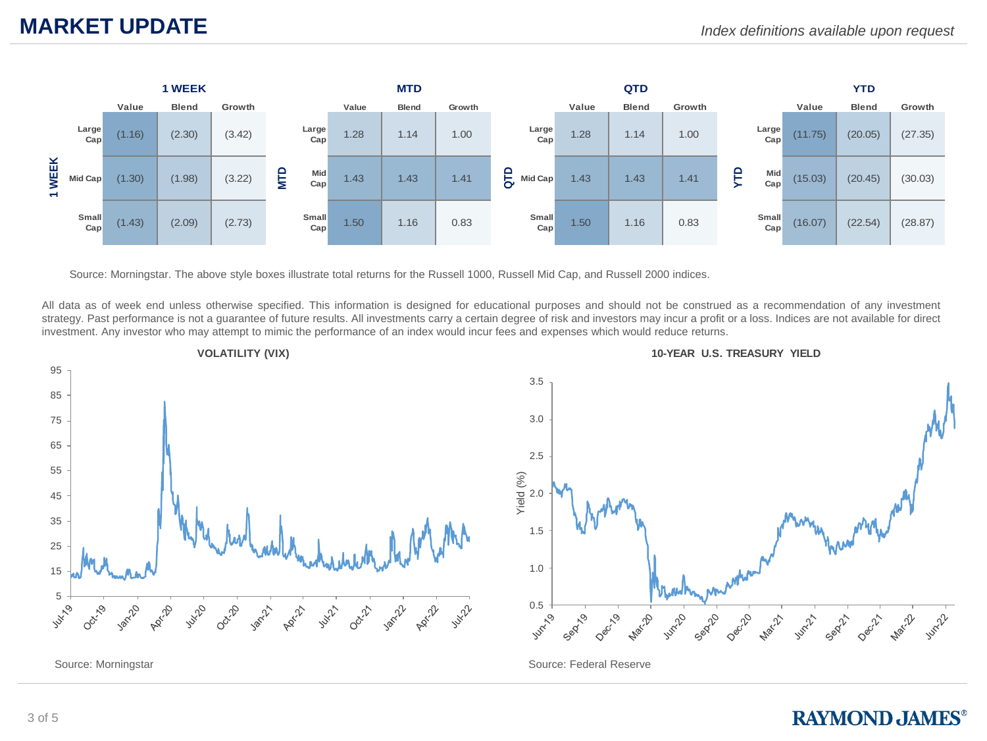

Source: Morningstar. The above style boxes illustrate total returns for the Russell 1000, Russell Mid Cap, and Russell 2000 indices.

All data as of week end unless otherwise specified. This information is designed for educational purposes and should not be construed as a recommendation of any investment strategy. Past performance is not a guarantee of future results. All investments carry a certain degree of risk and investors may incur a profit or a loss. Indices are not available for direct investment. Any investor who may attempt to mimic the performance of an index would incur fees and expenses which would reduce returns.





Source: Federal Reserve

#### **RAYMOND, JAMES®**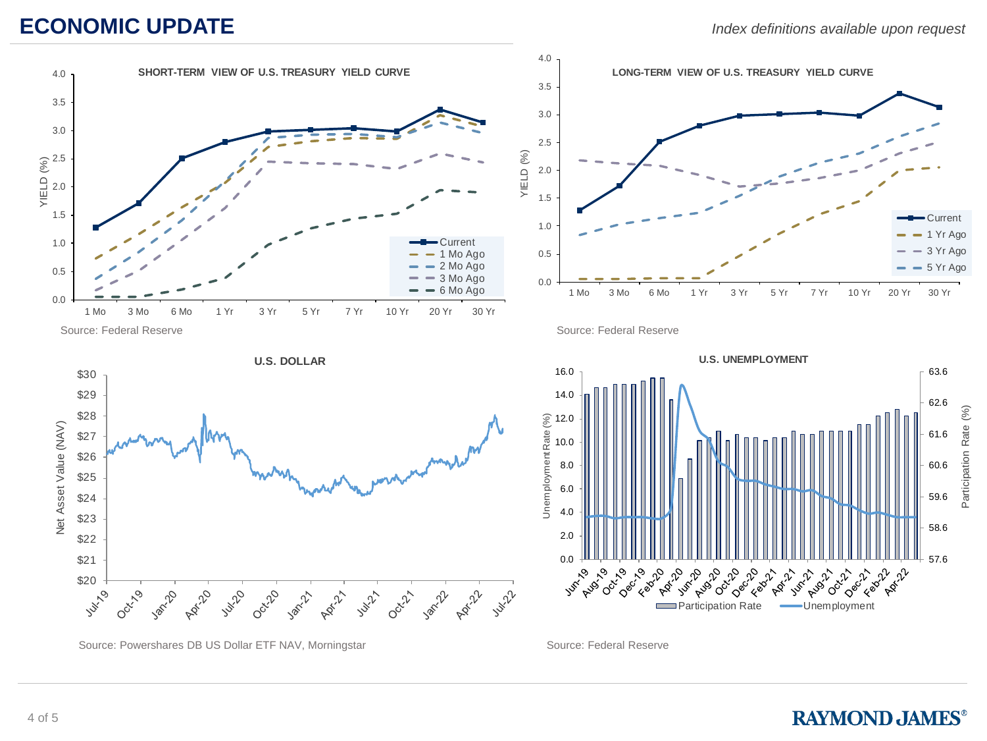### **ECONOMIC UPDATE**





Source: Federal Reserve



Source: Powershares DB US Dollar ETF NAV, Morningstar Source: Federal Reserve

Source: Federal Reserve



#### **RAYMOND JAMES®**